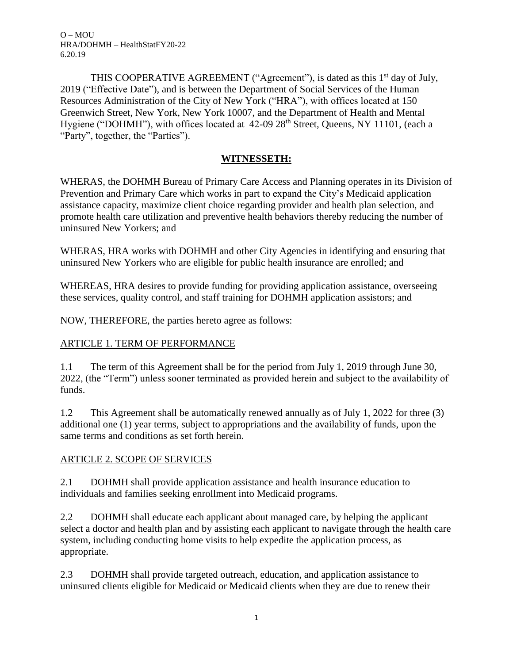THIS COOPERATIVE AGREEMENT ("Agreement"), is dated as this 1<sup>st</sup> day of July, 2019 ("Effective Date"), and is between the Department of Social Services of the Human Resources Administration of the City of New York ("HRA"), with offices located at 150 Greenwich Street, New York, New York 10007, and the Department of Health and Mental Hygiene ("DOHMH"), with offices located at 42-09 28<sup>th</sup> Street, Queens, NY 11101, (each a "Party", together, the "Parties").

## **WITNESSETH:**

WHERAS, the DOHMH Bureau of Primary Care Access and Planning operates in its Division of Prevention and Primary Care which works in part to expand the City's Medicaid application assistance capacity, maximize client choice regarding provider and health plan selection, and promote health care utilization and preventive health behaviors thereby reducing the number of uninsured New Yorkers; and

WHERAS, HRA works with DOHMH and other City Agencies in identifying and ensuring that uninsured New Yorkers who are eligible for public health insurance are enrolled; and

WHEREAS, HRA desires to provide funding for providing application assistance, overseeing these services, quality control, and staff training for DOHMH application assistors; and

NOW, THEREFORE, the parties hereto agree as follows:

## ARTICLE 1. TERM OF PERFORMANCE

1.1 The term of this Agreement shall be for the period from July 1, 2019 through June 30, 2022, (the "Term") unless sooner terminated as provided herein and subject to the availability of funds.

1.2 This Agreement shall be automatically renewed annually as of July 1, 2022 for three (3) additional one (1) year terms, subject to appropriations and the availability of funds, upon the same terms and conditions as set forth herein.

#### ARTICLE 2. SCOPE OF SERVICES

2.1 DOHMH shall provide application assistance and health insurance education to individuals and families seeking enrollment into Medicaid programs.

2.2 DOHMH shall educate each applicant about managed care, by helping the applicant select a doctor and health plan and by assisting each applicant to navigate through the health care system, including conducting home visits to help expedite the application process, as appropriate.

2.3 DOHMH shall provide targeted outreach, education, and application assistance to uninsured clients eligible for Medicaid or Medicaid clients when they are due to renew their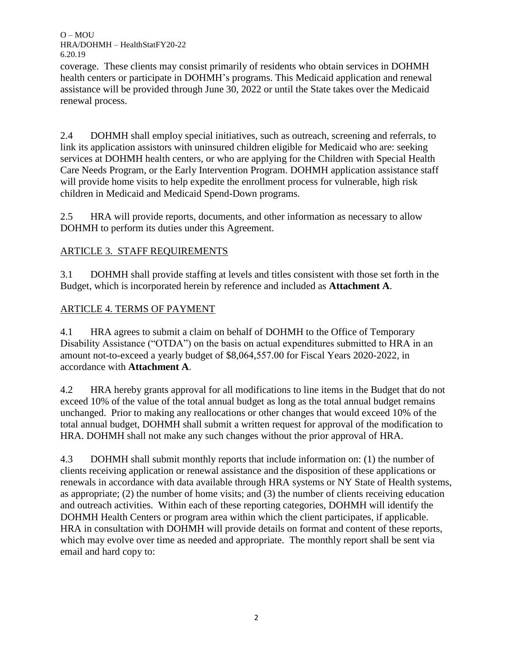coverage. These clients may consist primarily of residents who obtain services in DOHMH health centers or participate in DOHMH's programs. This Medicaid application and renewal assistance will be provided through June 30, 2022 or until the State takes over the Medicaid renewal process.

2.4 DOHMH shall employ special initiatives, such as outreach, screening and referrals, to link its application assistors with uninsured children eligible for Medicaid who are: seeking services at DOHMH health centers, or who are applying for the Children with Special Health Care Needs Program, or the Early Intervention Program. DOHMH application assistance staff will provide home visits to help expedite the enrollment process for vulnerable, high risk children in Medicaid and Medicaid Spend-Down programs.

2.5 HRA will provide reports, documents, and other information as necessary to allow DOHMH to perform its duties under this Agreement.

# ARTICLE 3. STAFF REQUIREMENTS

3.1 DOHMH shall provide staffing at levels and titles consistent with those set forth in the Budget, which is incorporated herein by reference and included as **Attachment A**.

# ARTICLE 4. TERMS OF PAYMENT

4.1 HRA agrees to submit a claim on behalf of DOHMH to the Office of Temporary Disability Assistance ("OTDA") on the basis on actual expenditures submitted to HRA in an amount not-to-exceed a yearly budget of \$8,064,557.00 for Fiscal Years 2020-2022, in accordance with **Attachment A**.

4.2 HRA hereby grants approval for all modifications to line items in the Budget that do not exceed 10% of the value of the total annual budget as long as the total annual budget remains unchanged. Prior to making any reallocations or other changes that would exceed 10% of the total annual budget, DOHMH shall submit a written request for approval of the modification to HRA. DOHMH shall not make any such changes without the prior approval of HRA.

4.3 DOHMH shall submit monthly reports that include information on: (1) the number of clients receiving application or renewal assistance and the disposition of these applications or renewals in accordance with data available through HRA systems or NY State of Health systems, as appropriate; (2) the number of home visits; and (3) the number of clients receiving education and outreach activities. Within each of these reporting categories, DOHMH will identify the DOHMH Health Centers or program area within which the client participates, if applicable. HRA in consultation with DOHMH will provide details on format and content of these reports, which may evolve over time as needed and appropriate. The monthly report shall be sent via email and hard copy to: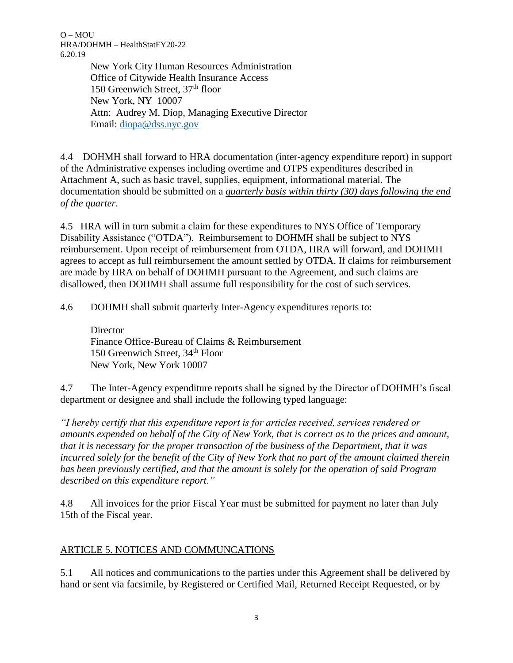> New York City Human Resources Administration Office of Citywide Health Insurance Access 150 Greenwich Street, 37<sup>th</sup> floor New York, NY 10007 Attn: Audrey M. Diop, Managing Executive Director Email: [diopa@dss.nyc.gov](mailto:diopa@dss.nyc.gov)

4.4 DOHMH shall forward to HRA documentation (inter-agency expenditure report) in support of the Administrative expenses including overtime and OTPS expenditures described in Attachment A, such as basic travel, supplies, equipment, informational material. The documentation should be submitted on a *quarterly basis within thirty (30) days following the end of the quarter*.

4.5 HRA will in turn submit a claim for these expenditures to NYS Office of Temporary Disability Assistance ("OTDA"). Reimbursement to DOHMH shall be subject to NYS reimbursement. Upon receipt of reimbursement from OTDA, HRA will forward, and DOHMH agrees to accept as full reimbursement the amount settled by OTDA. If claims for reimbursement are made by HRA on behalf of DOHMH pursuant to the Agreement, and such claims are disallowed, then DOHMH shall assume full responsibility for the cost of such services.

4.6 DOHMH shall submit quarterly Inter-Agency expenditures reports to:

**Director** Finance Office-Bureau of Claims & Reimbursement 150 Greenwich Street, 34<sup>th</sup> Floor New York, New York 10007

4.7 The Inter-Agency expenditure reports shall be signed by the Director of DOHMH's fiscal department or designee and shall include the following typed language:

*"I hereby certify that this expenditure report is for articles received, services rendered or amounts expended on behalf of the City of New York, that is correct as to the prices and amount, that it is necessary for the proper transaction of the business of the Department, that it was incurred solely for the benefit of the City of New York that no part of the amount claimed therein has been previously certified, and that the amount is solely for the operation of said Program described on this expenditure report."*

4.8 All invoices for the prior Fiscal Year must be submitted for payment no later than July 15th of the Fiscal year.

# ARTICLE 5. NOTICES AND COMMUNCATIONS

5.1 All notices and communications to the parties under this Agreement shall be delivered by hand or sent via facsimile, by Registered or Certified Mail, Returned Receipt Requested, or by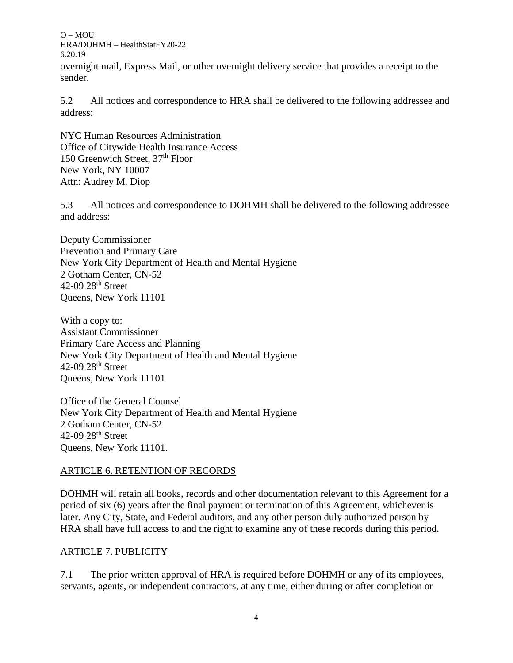overnight mail, Express Mail, or other overnight delivery service that provides a receipt to the sender.

5.2 All notices and correspondence to HRA shall be delivered to the following addressee and address:

NYC Human Resources Administration Office of Citywide Health Insurance Access 150 Greenwich Street, 37<sup>th</sup> Floor New York, NY 10007 Attn: Audrey M. Diop

5.3 All notices and correspondence to DOHMH shall be delivered to the following addressee and address:

Deputy Commissioner Prevention and Primary Care New York City Department of Health and Mental Hygiene 2 Gotham Center, CN-52 42-09 28th Street Queens, New York 11101

With a copy to: Assistant Commissioner Primary Care Access and Planning New York City Department of Health and Mental Hygiene 42-09 28th Street Queens, New York 11101

Office of the General Counsel New York City Department of Health and Mental Hygiene 2 Gotham Center, CN-52 42-09 28<sup>th</sup> Street Queens, New York 11101.

## ARTICLE 6. RETENTION OF RECORDS

DOHMH will retain all books, records and other documentation relevant to this Agreement for a period of six (6) years after the final payment or termination of this Agreement, whichever is later. Any City, State, and Federal auditors, and any other person duly authorized person by HRA shall have full access to and the right to examine any of these records during this period.

#### ARTICLE 7. PUBLICITY

7.1 The prior written approval of HRA is required before DOHMH or any of its employees, servants, agents, or independent contractors, at any time, either during or after completion or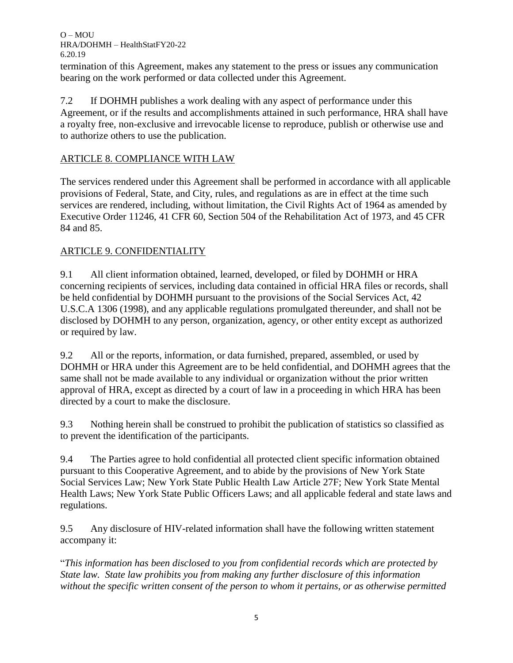termination of this Agreement, makes any statement to the press or issues any communication bearing on the work performed or data collected under this Agreement.

7.2 If DOHMH publishes a work dealing with any aspect of performance under this Agreement, or if the results and accomplishments attained in such performance, HRA shall have a royalty free, non-exclusive and irrevocable license to reproduce, publish or otherwise use and to authorize others to use the publication.

# ARTICLE 8. COMPLIANCE WITH LAW

The services rendered under this Agreement shall be performed in accordance with all applicable provisions of Federal, State, and City, rules, and regulations as are in effect at the time such services are rendered, including, without limitation, the Civil Rights Act of 1964 as amended by Executive Order 11246, 41 CFR 60, Section 504 of the Rehabilitation Act of 1973, and 45 CFR 84 and 85.

# ARTICLE 9. CONFIDENTIALITY

9.1 All client information obtained, learned, developed, or filed by DOHMH or HRA concerning recipients of services, including data contained in official HRA files or records, shall be held confidential by DOHMH pursuant to the provisions of the Social Services Act, 42 U.S.C.A 1306 (1998), and any applicable regulations promulgated thereunder, and shall not be disclosed by DOHMH to any person, organization, agency, or other entity except as authorized or required by law.

9.2 All or the reports, information, or data furnished, prepared, assembled, or used by DOHMH or HRA under this Agreement are to be held confidential, and DOHMH agrees that the same shall not be made available to any individual or organization without the prior written approval of HRA, except as directed by a court of law in a proceeding in which HRA has been directed by a court to make the disclosure.

9.3 Nothing herein shall be construed to prohibit the publication of statistics so classified as to prevent the identification of the participants.

9.4 The Parties agree to hold confidential all protected client specific information obtained pursuant to this Cooperative Agreement, and to abide by the provisions of New York State Social Services Law; New York State Public Health Law Article 27F; New York State Mental Health Laws; New York State Public Officers Laws; and all applicable federal and state laws and regulations.

9.5 Any disclosure of HIV-related information shall have the following written statement accompany it:

"*This information has been disclosed to you from confidential records which are protected by State law. State law prohibits you from making any further disclosure of this information without the specific written consent of the person to whom it pertains, or as otherwise permitted*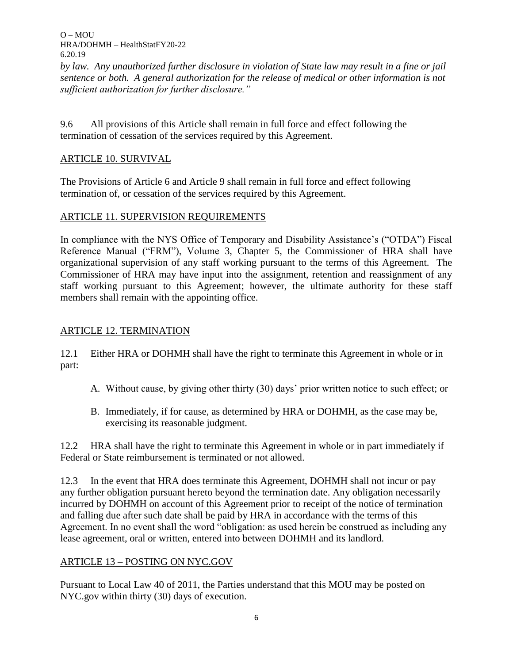*by law. Any unauthorized further disclosure in violation of State law may result in a fine or jail sentence or both. A general authorization for the release of medical or other information is not sufficient authorization for further disclosure."*

9.6 All provisions of this Article shall remain in full force and effect following the termination of cessation of the services required by this Agreement.

# ARTICLE 10. SURVIVAL

The Provisions of Article 6 and Article 9 shall remain in full force and effect following termination of, or cessation of the services required by this Agreement.

## ARTICLE 11. SUPERVISION REQUIREMENTS

In compliance with the NYS Office of Temporary and Disability Assistance's ("OTDA") Fiscal Reference Manual ("FRM"), Volume 3, Chapter 5, the Commissioner of HRA shall have organizational supervision of any staff working pursuant to the terms of this Agreement. The Commissioner of HRA may have input into the assignment, retention and reassignment of any staff working pursuant to this Agreement; however, the ultimate authority for these staff members shall remain with the appointing office.

## ARTICLE 12. TERMINATION

12.1 Either HRA or DOHMH shall have the right to terminate this Agreement in whole or in part:

- A. Without cause, by giving other thirty (30) days' prior written notice to such effect; or
- B. Immediately, if for cause, as determined by HRA or DOHMH, as the case may be, exercising its reasonable judgment.

12.2 HRA shall have the right to terminate this Agreement in whole or in part immediately if Federal or State reimbursement is terminated or not allowed.

12.3 In the event that HRA does terminate this Agreement, DOHMH shall not incur or pay any further obligation pursuant hereto beyond the termination date. Any obligation necessarily incurred by DOHMH on account of this Agreement prior to receipt of the notice of termination and falling due after such date shall be paid by HRA in accordance with the terms of this Agreement. In no event shall the word "obligation: as used herein be construed as including any lease agreement, oral or written, entered into between DOHMH and its landlord.

## ARTICLE 13 – POSTING ON NYC.GOV

Pursuant to Local Law 40 of 2011, the Parties understand that this MOU may be posted on NYC.gov within thirty (30) days of execution.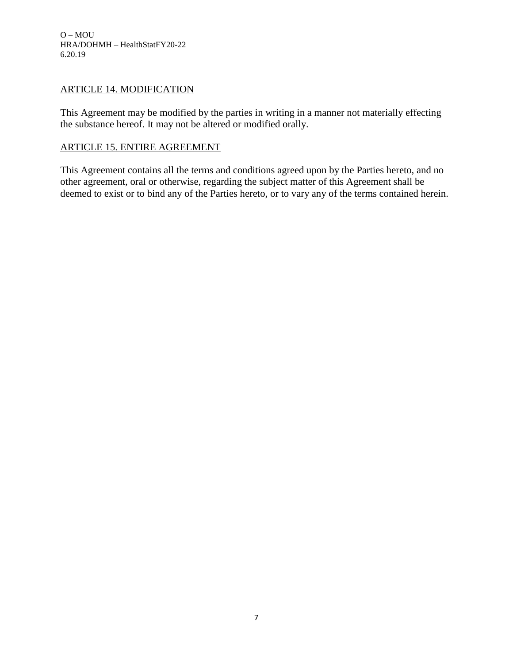#### ARTICLE 14. MODIFICATION

This Agreement may be modified by the parties in writing in a manner not materially effecting the substance hereof. It may not be altered or modified orally.

#### ARTICLE 15. ENTIRE AGREEMENT

This Agreement contains all the terms and conditions agreed upon by the Parties hereto, and no other agreement, oral or otherwise, regarding the subject matter of this Agreement shall be deemed to exist or to bind any of the Parties hereto, or to vary any of the terms contained herein.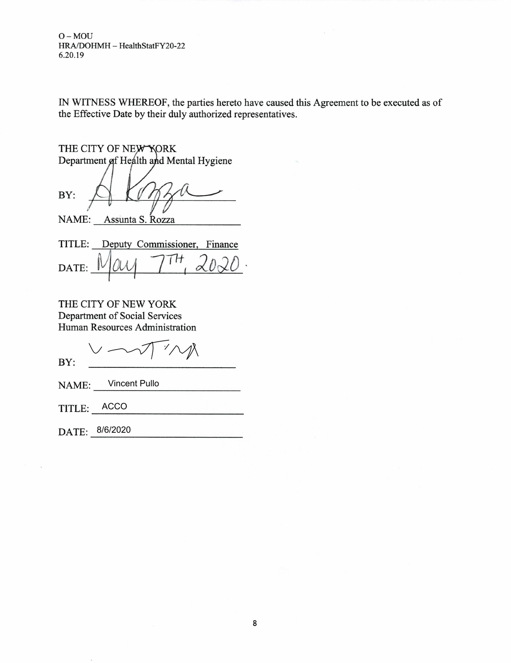IN WITNESS WHEREOF, the parties hereto have caused this Agreement to be executed as of the Effective Date by their duly authorized representatives.

THE CITY OF NEW YORK Department of Health and Mental Hygiene BY:

NAME: Assunta S. Rozza

|       |  | TITLE: Deputy Commissioner, Finance |  |
|-------|--|-------------------------------------|--|
| DATE: |  | $W$ ais 7.                          |  |

THE CITY OF NEW YORK Department of Social Services Human Resources Administration

 $\sqrt{2}$  $\gamma^{\prime}$ BY:

NAME: Vincent Pullo

TITLE: ACCO

DATE: 8/6/2020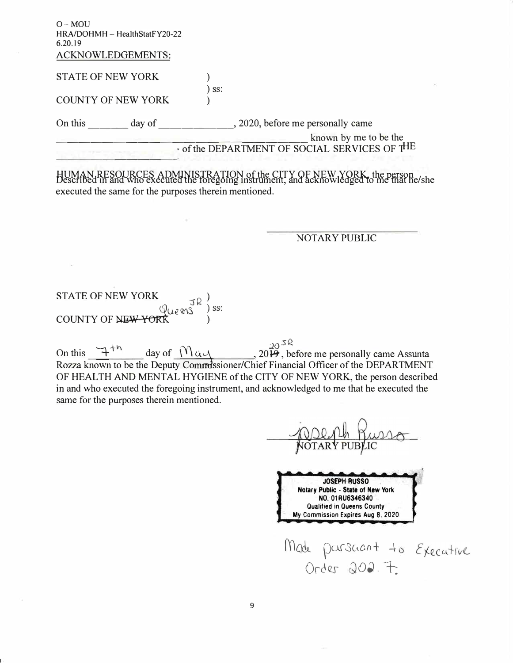| $O-MOU$<br>HRA/DOHMH - HealthStatFY20-22<br>6.20.19<br>ACKNOWLEDGEMENTS: |                                             |
|--------------------------------------------------------------------------|---------------------------------------------|
| <b>STATE OF NEW YORK</b>                                                 |                                             |
| <b>COUNTY OF NEW YORK</b>                                                | SS:                                         |
| On this<br>day of                                                        | , 2020, before me personally came           |
|                                                                          | of the DEPARTMENT OF SOCIAL SERVICES OF THE |

HUMAN, RESOURCES ADMINISTRATION of the CITY OF NEW YORK, the person bescribed in and who executed the foregoing instrument, and acknowledged to me that he/she executed the same for the purposes therein mentioned.

#### **NOTARY PUBLIC**

**STATE OF NEW YORK** COUNTY OF NEW YORK

20 3  $\frac{20}{3}$ , before me personally came Assunta On this  $\mathcal{F}^{+h}$ day of  $M$   $\alpha$ Rozza known to be the Deputy Commissioner/Chief Financial Officer of the DEPARTMENT OF HEALTH AND MENTAL HYGIENE of the CITY OF NEW YORK, the person described in and who executed the foregoing instrument, and acknowledged to me that he executed the same for the purposes therein mentioned.

**JOSEPH RUSSO** Notary Public - State of New York NO. 01RU6346340 **Qualified in Queens County** My Commission Expires Aug 8, 2020 Made parsuant to Executive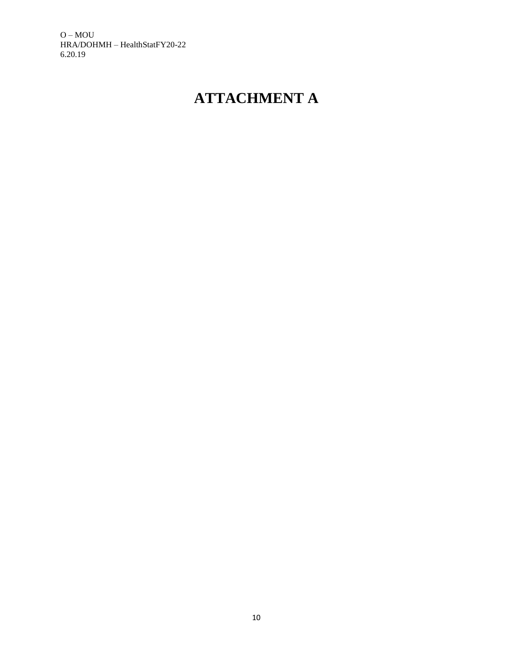# **ATTACHMENT A**